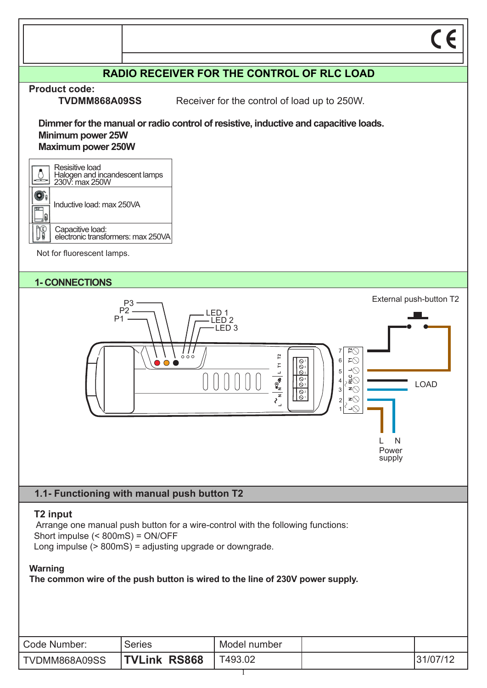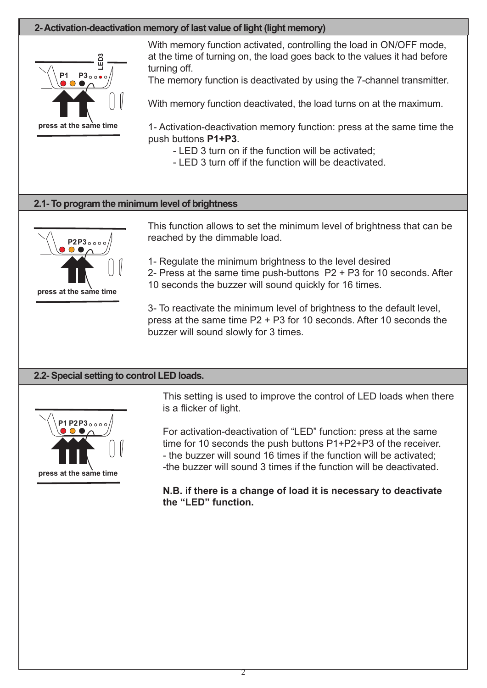# **2- Activation-deactivation memory of last value of light (light memory)**



**press at the same time**

With memory function activated, controlling the load in ON/OFF mode, at the time of turning on, the load goes back to the values it had before turning off.

The memory function is deactivated by using the 7-channel transmitter.

With memory function deactivated, the load turns on at the maximum.

1- Activation-deactivation memory function: press at the same time the push buttons **P1+P3**.

- LED 3 turn on if the function will be activated;
- LED 3 turn off if the function will be deactivated.

### **2.1- To program the minimum level of brightness**



This function allows to set the minimum level of brightness that can be reached by the dimmable load.

1- Regulate the minimum brightness to the level desired 2- Press at the same time push-buttons P2 + P3 for 10 seconds. After 10 seconds the buzzer will sound quickly for 16 times.

3- To reactivate the minimum level of brightness to the default level, press at the same time P2 + P3 for 10 seconds. After 10 seconds the buzzer will sound slowly for 3 times.

# **2.2- Special setting to control LED loads.**



This setting is used to improve the control of LED loads when there is a flicker of light.

For activation-deactivation of "LED" function: press at the same time for 10 seconds the push buttons P1+P2+P3 of the receiver. - the buzzer will sound 16 times if the function will be activated; -the buzzer will sound 3 times if the function will be deactivated.

**N.B. if there is a change of load it is necessary to deactivate the "LED" function.**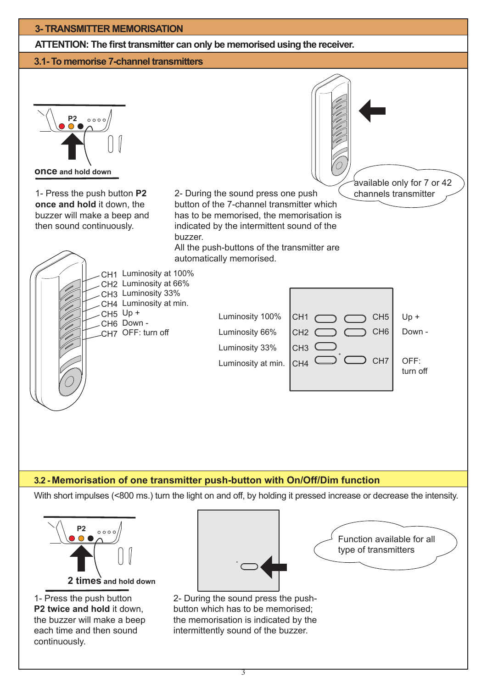# **3- TRANSMITTER MEMORISATION ATTENTION: The first transmitter can only be memorised using the receiver. 3.1- To memorise 7-channel transmitters**   $\circ \circ \circ \circ$ **P2 once and hold down** available only for 7 or 42 channels transmitter 1- Press the push button **P2**  2- During the sound press one push **once and hold** it down, the button of the 7-channel transmitter which buzzer will make a beep and has to be memorised, the memorisation is then sound continuously. indicated by the intermittent sound of the buzzer. All the push-buttons of the transmitter are automatically memorised. Luminosity at 100% CH1 Luminosity at 66% CH2 Luminosity 33% CH3 CH4 Luminosity at min. CH5 Up + Luminosity 100% CH<sub>1</sub> $<$  $CH5$  Up + CH6 Down - $CH6$  Down -Luminosity 66%  $CH2<sub>C</sub>$ CH7 OFF: turn off Luminosity 33%  $CH3<sup>°</sup>$ CH7 OFF:  $CH4$ <sup>(</sup> Luminosity at min. turn off

# **3.2 - Memorisation of one transmitter push-button with On/Off/Dim function**

With short impulses (<800 ms.) turn the light on and off, by holding it pressed increase or decrease the intensity.



1- Press the push button **P2 twice and hold** it down. the buzzer will make a beep each time and then sound continuously.



2- During the sound press the pushbutton which has to be memorised; the memorisation is indicated by the intermittently sound of the buzzer.

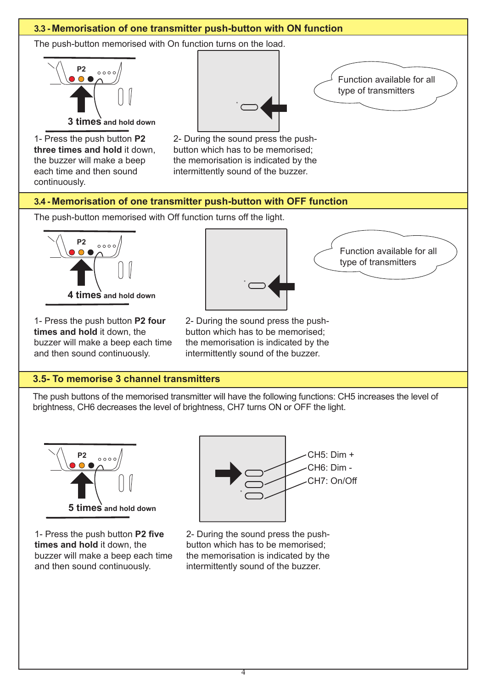

1- Press the push button **P2 five times and hold** it down, the buzzer will make a beep each time and then sound continuously.

2- During the sound press the pushbutton which has to be memorised; the memorisation is indicated by the intermittently sound of the buzzer.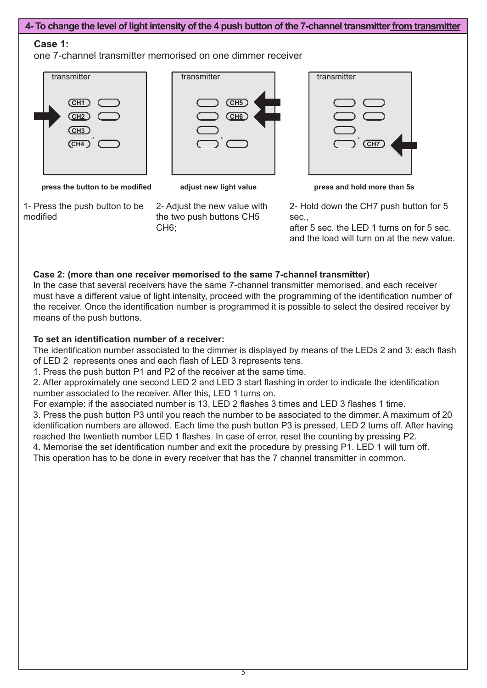# **4- To change the level of light intensity of the 4 push button of the 7-channel transmitter from transmitter**

## **Case 1:**

one 7-channel transmitter memorised on one dimmer receiver



| transmitter                               |  |
|-------------------------------------------|--|
| $\overline{\text{CH5}}$<br>CH6<br>$\circ$ |  |

| transmitter |  |
|-------------|--|
|             |  |
|             |  |
|             |  |
|             |  |
|             |  |
|             |  |
| $\circ$     |  |
| CH7)        |  |
|             |  |
|             |  |
|             |  |
|             |  |

**press the button to be modified press and hold more than 5s**

1- Press the push button to be modified

2- Adjust the new value with **adjust new light value**

the two push buttons CH5 CH6;

2- Hold down the CH7 push button for 5

sec., after 5 sec. the LED 1 turns on for 5 sec. and the load will turn on at the new value.

# **Case 2: (more than one receiver memorised to the same 7-channel transmitter)**

In the case that several receivers have the same 7-channel transmitter memorised, and each receiver must have a different value of light intensity, proceed with the programming of the identification number of the receiver. Once the identification number is programmed it is possible to select the desired receiver by means of the push buttons.

## **To set an identification number of a receiver:**

The identification number associated to the dimmer is displayed by means of the LEDs 2 and 3: each flash of LED 2 represents ones and each flash of LED 3 represents tens.

1. Press the push button P1 and P2 of the receiver at the same time.

2. After approximately one second LED 2 and LED 3 start flashing in order to indicate the identification number associated to the receiver. After this, LED 1 turns on.

For example: if the associated number is 13, LED 2 flashes 3 times and LED 3 flashes 1 time.

3. Press the push button P3 until you reach the number to be associated to the dimmer. A maximum of 20 identification numbers are allowed. Each time the push button P3 is pressed, LED 2 turns off. After having reached the twentieth number LED 1 flashes. In case of error, reset the counting by pressing P2.

4. Memorise the set identification number and exit the procedure by pressing P1. LED 1 will turn off. This operation has to be done in every receiver that has the 7 channel transmitter in common.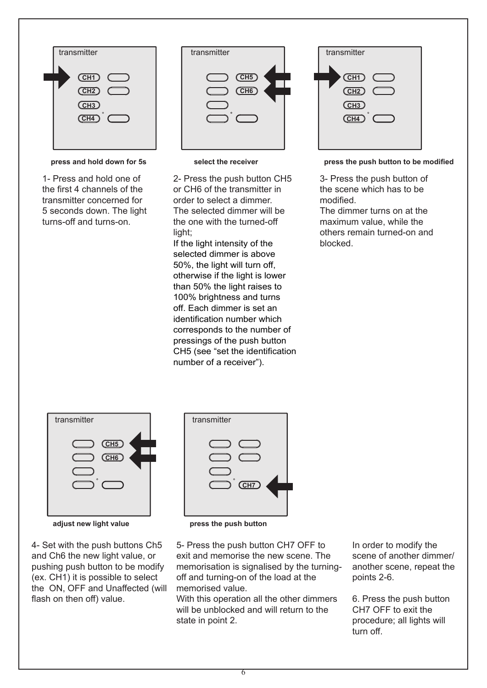

**press and hold down for 5s**

1- Press and hold one of the first 4 channels of the transmitter concerned for 5 seconds down. The light turns-off and turns-on.

| transmitter                                            | transmitter           | transmitter                                                  |
|--------------------------------------------------------|-----------------------|--------------------------------------------------------------|
| (CH1<br>(CH2)<br>CH3<br>$\circ$<br>$\sqrt{\text{CH4}}$ | CH5<br>CH6<br>$\circ$ | CH1<br>CH <sub>2</sub><br>CH <sub>3</sub><br>CH <sub>4</sub> |

**select the receiver**

2- Press the push button CH5 or CH6 of the transmitter in order to select a dimmer. The selected dimmer will be the one with the turned-off light:

If the light intensity of the selected dimmer is above 50%, the light will turn off, otherwise if the light is lower than 50% the light raises to 100% brightness and turns off. Each dimmer is set an identification number which corresponds to the number of pressings of the push button CH5 (see "set the identification number of a receiver").

| transmitter                        |
|------------------------------------|
|                                    |
| CH1                                |
| CH2)                               |
| $\overline{\text{CH3}}$            |
| $\circ$<br>$\overline{\text{CH4}}$ |
|                                    |
|                                    |

**press the push button to be modified**

3- Press the push button of the scene which has to be modified.

The dimmer turns on at the maximum value, while the others remain turned-on and blocked.



**adjust new light value press the push button**

4- Set with the push buttons Ch5 and Ch6 the new light value, or pushing push button to be modify (ex. CH1) it is possible to select the ON, OFF and Unaffected (will flash on then off) value.



5- Press the push button CH7 OFF to exit and memorise the new scene. The memorisation is signalised by the turningoff and turning-on of the load at the memorised value.

With this operation all the other dimmers will be unblocked and will return to the state in point 2.

In order to modify the scene of another dimmer/ another scene, repeat the points 2-6.

6. Press the push button CH7 OFF to exit the procedure; all lights will turn off.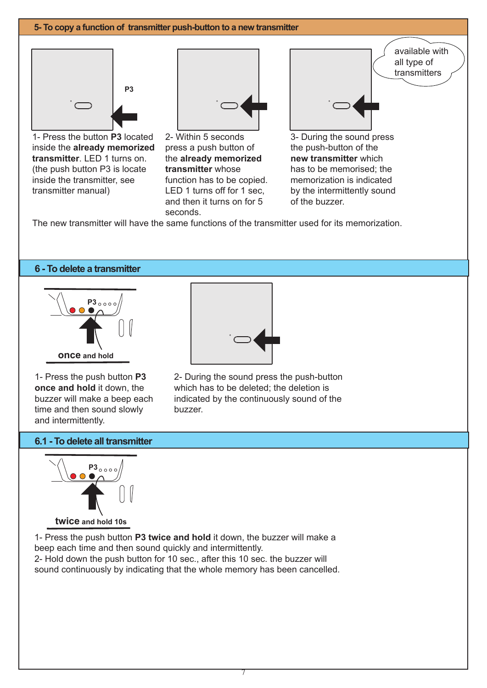#### **5- To copy a function of transmitter push-button to a new transmitter**



1- Press the button **P3** located inside the **already memorized transmitter**. LED 1 turns on. (the push button P3 is locate inside the transmitter, see transmitter manual)



2- Within 5 seconds press a push button of the **already memorized transmitter** whose function has to be copied. LED 1 turns off for 1 sec, and then it turns on for 5 seconds.

|         | available with<br>all type of<br>transmitters |
|---------|-----------------------------------------------|
| $\circ$ |                                               |

3- During the sound press the push-button of the **new transmitter** which has to be memorised; the memorization is indicated by the intermittently sound of the buzzer.

The new transmitter will have the same functions of the transmitter used for its memorization.

#### **6 - To delete a transmitter**



1- Press the push button **P3 once and hold** it down, the buzzer will make a beep each time and then sound slowly and intermittently.



2- During the sound press the push-button which has to be deleted; the deletion is indicated by the continuously sound of the buzzer.

#### **6.1 - To delete all transmitter**



1- Press the push button **P3 twice and hold** it down, the buzzer will make a beep each time and then sound quickly and intermittently. 2- Hold down the push button for 10 sec., after this 10 sec. the buzzer will

sound continuously by indicating that the whole memory has been cancelled.